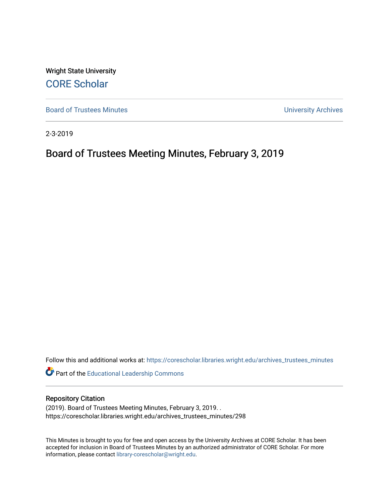Wright State University [CORE Scholar](https://corescholar.libraries.wright.edu/)

[Board of Trustees Minutes](https://corescholar.libraries.wright.edu/archives_trustees_minutes) **Exercise 2018** Solution 2018 10:30 Minutes University Archives

2-3-2019

# Board of Trustees Meeting Minutes, February 3, 2019

Follow this and additional works at: [https://corescholar.libraries.wright.edu/archives\\_trustees\\_minutes](https://corescholar.libraries.wright.edu/archives_trustees_minutes?utm_source=corescholar.libraries.wright.edu%2Farchives_trustees_minutes%2F298&utm_medium=PDF&utm_campaign=PDFCoverPages) 

Part of the [Educational Leadership Commons](https://network.bepress.com/hgg/discipline/1230?utm_source=corescholar.libraries.wright.edu%2Farchives_trustees_minutes%2F298&utm_medium=PDF&utm_campaign=PDFCoverPages) 

#### Repository Citation

(2019). Board of Trustees Meeting Minutes, February 3, 2019. . https://corescholar.libraries.wright.edu/archives\_trustees\_minutes/298

This Minutes is brought to you for free and open access by the University Archives at CORE Scholar. It has been accepted for inclusion in Board of Trustees Minutes by an authorized administrator of CORE Scholar. For more information, please contact [library-corescholar@wright.edu.](mailto:library-corescholar@wright.edu)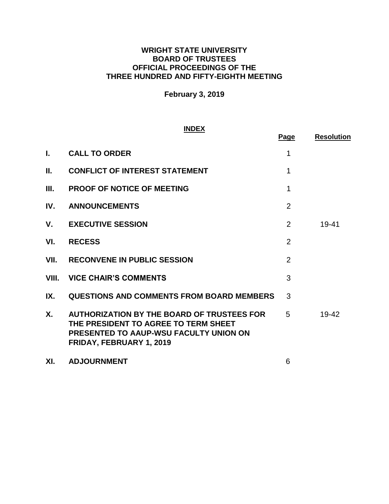# **WRIGHT STATE UNIVERSITY BOARD OF TRUSTEES OFFICIAL PROCEEDINGS OF THE THREE HUNDRED AND FIFTY-EIGHTH MEETING**

# **February 3, 2019**

### **INDEX**

|       |                                                                                                                                                                 | Page           | <b>Resolution</b> |
|-------|-----------------------------------------------------------------------------------------------------------------------------------------------------------------|----------------|-------------------|
| L.    | <b>CALL TO ORDER</b>                                                                                                                                            | 1              |                   |
| П.    | <b>CONFLICT OF INTEREST STATEMENT</b>                                                                                                                           | 1              |                   |
| Ш.    | <b>PROOF OF NOTICE OF MEETING</b>                                                                                                                               | 1              |                   |
| IV.   | <b>ANNOUNCEMENTS</b>                                                                                                                                            | $\overline{2}$ |                   |
| V.    | <b>EXECUTIVE SESSION</b>                                                                                                                                        | 2              | $19 - 41$         |
| VI.   | <b>RECESS</b>                                                                                                                                                   | $\overline{2}$ |                   |
| VII.  | <b>RECONVENE IN PUBLIC SESSION</b>                                                                                                                              | $\overline{2}$ |                   |
| VIII. | <b>VICE CHAIR'S COMMENTS</b>                                                                                                                                    | 3              |                   |
| IX.   | <b>QUESTIONS AND COMMENTS FROM BOARD MEMBERS</b>                                                                                                                | 3              |                   |
| Χ.    | <b>AUTHORIZATION BY THE BOARD OF TRUSTEES FOR</b><br>THE PRESIDENT TO AGREE TO TERM SHEET<br>PRESENTED TO AAUP-WSU FACULTY UNION ON<br>FRIDAY, FEBRUARY 1, 2019 | 5              | 19-42             |
| XI.   | <b>ADJOURNMENT</b>                                                                                                                                              | 6              |                   |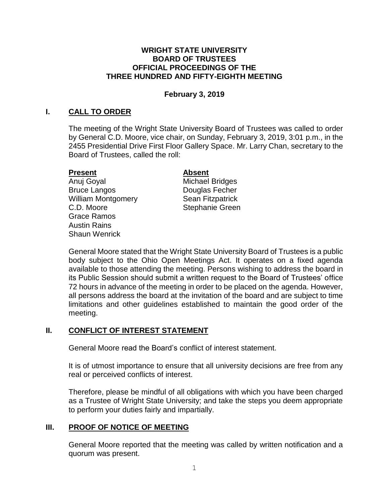### <span id="page-2-0"></span>**WRIGHT STATE UNIVERSITY BOARD OF TRUSTEES OFFICIAL PROCEEDINGS OF THE THREE HUNDRED AND FIFTY-EIGHTH MEETING**

# **February 3, 2019**

# **I. CALL TO ORDER**

The meeting of the Wright State University Board of Trustees was called to order by General C.D. Moore, vice chair, on Sunday, February 3, 2019, 3:01 p.m., in the 2455 Presidential Drive First Floor Gallery Space. Mr. Larry Chan, secretary to the Board of Trustees, called the roll:

# **Present Absent**

Anuj Goyal **Michael Bridges** Bruce Langos **Douglas Fecher** William Montgomery **Sean Fitzpatrick** C.D. Moore Stephanie Green Grace Ramos Austin Rains Shaun Wenrick

General Moore stated that the Wright State University Board of Trustees is a public body subject to the Ohio Open Meetings Act. It operates on a fixed agenda available to those attending the meeting. Persons wishing to address the board in its Public Session should submit a written request to the Board of Trustees' office 72 hours in advance of the meeting in order to be placed on the agenda. However, all persons address the board at the invitation of the board and are subject to time limitations and other guidelines established to maintain the good order of the meeting.

# **II. CONFLICT OF INTEREST STATEMENT**

General Moore read the Board's conflict of interest statement.

 It is of utmost importance to ensure that all university decisions are free from any real or perceived conflicts of interest.

 Therefore, please be mindful of all obligations with which you have been charged as a Trustee of Wright State University; and take the steps you deem appropriate to perform your duties fairly and impartially.

# **III. PROOF OF NOTICE OF MEETING**

 General Moore reported that the meeting was called by written notification and a quorum was present.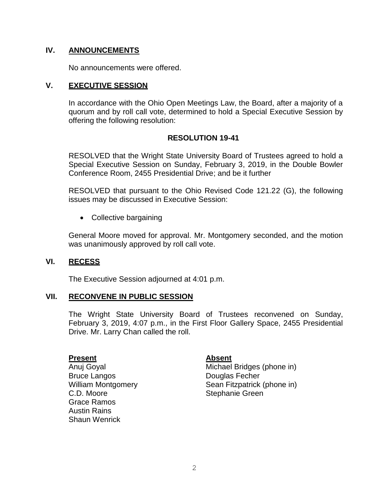# **IV. ANNOUNCEMENTS**

No announcements were offered.

# **V. EXECUTIVE SESSION**

In accordance with the Ohio Open Meetings Law, the Board, after a majority of a quorum and by roll call vote, determined to hold a Special Executive Session by offering the following resolution:

# **RESOLUTION 19-41**

RESOLVED that the Wright State University Board of Trustees agreed to hold a Special Executive Session on Sunday, February 3, 2019, in the Double Bowler Conference Room, 2455 Presidential Drive; and be it further

RESOLVED that pursuant to the Ohio Revised Code 121.22 (G), the following issues may be discussed in Executive Session:

• Collective bargaining

General Moore moved for approval. Mr. Montgomery seconded, and the motion was unanimously approved by roll call vote.

# **VI. RECESS**

The Executive Session adjourned at 4:01 p.m.

# **VII. RECONVENE IN PUBLIC SESSION**

The Wright State University Board of Trustees reconvened on Sunday, February 3, 2019, 4:07 p.m., in the First Floor Gallery Space, 2455 Presidential Drive. Mr. Larry Chan called the roll.

#### **Present**

Anuj Goyal Bruce Langos William Montgomery C.D. Moore Grace Ramos Austin Rains Shaun Wenrick

# **Absent**

Michael Bridges (phone in) Douglas Fecher Sean Fitzpatrick (phone in) Stephanie Green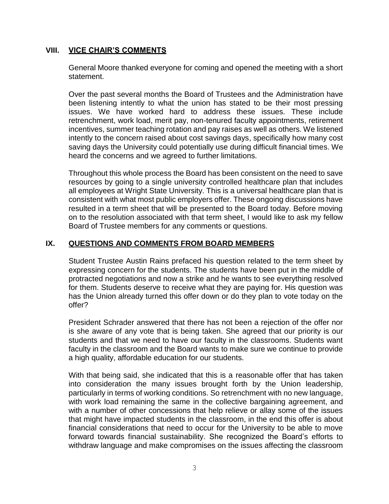# <span id="page-4-0"></span>**VIII. VICE CHAIR'S COMMENTS**

 General Moore thanked everyone for coming and opened the meeting with a short statement.

 Over the past several months the Board of Trustees and the Administration have been listening intently to what the union has stated to be their most pressing issues. We have worked hard to address these issues. These include retrenchment, work load, merit pay, non-tenured faculty appointments, retirement incentives, summer teaching rotation and pay raises as well as others. We listened intently to the concern raised about cost savings days, specifically how many cost saving days the University could potentially use during difficult financial times. We heard the concerns and we agreed to further limitations.

 Throughout this whole process the Board has been consistent on the need to save resources by going to a single university controlled healthcare plan that includes all employees at Wright State University. This is a universal healthcare plan that is consistent with what most public employers offer. These ongoing discussions have resulted in a term sheet that will be presented to the Board today. Before moving on to the resolution associated with that term sheet, I would like to ask my fellow Board of Trustee members for any comments or questions.

# **IX. QUESTIONS AND COMMENTS FROM BOARD MEMBERS**

 Student Trustee Austin Rains prefaced his question related to the term sheet by expressing concern for the students. The students have been put in the middle of protracted negotiations and now a strike and he wants to see everything resolved for them. Students deserve to receive what they are paying for. His question was has the Union already turned this offer down or do they plan to vote today on the offer?

 President Schrader answered that there has not been a rejection of the offer nor is she aware of any vote that is being taken. She agreed that our priority is our students and that we need to have our faculty in the classrooms. Students want faculty in the classroom and the Board wants to make sure we continue to provide a high quality, affordable education for our students.

 With that being said, she indicated that this is a reasonable offer that has taken into consideration the many issues brought forth by the Union leadership, particularly in terms of working conditions. So retrenchment with no new language, with work load remaining the same in the collective bargaining agreement, and with a number of other concessions that help relieve or allay some of the issues that might have impacted students in the classroom, in the end this offer is about financial considerations that need to occur for the University to be able to move forward towards financial sustainability. She recognized the Board's efforts to withdraw language and make compromises on the issues affecting the classroom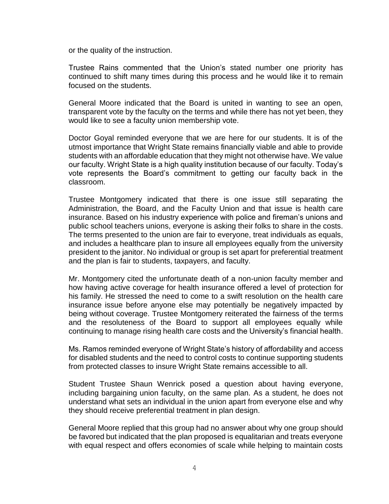or the quality of the instruction.

 Trustee Rains commented that the Union's stated number one priority has continued to shift many times during this process and he would like it to remain focused on the students.

 General Moore indicated that the Board is united in wanting to see an open, transparent vote by the faculty on the terms and while there has not yet been, they would like to see a faculty union membership vote.

 Doctor Goyal reminded everyone that we are here for our students. It is of the utmost importance that Wright State remains financially viable and able to provide students with an affordable education that they might not otherwise have. We value our faculty. Wright State is a high quality institution because of our faculty. Today's vote represents the Board's commitment to getting our faculty back in the classroom.

 Trustee Montgomery indicated that there is one issue still separating the Administration, the Board, and the Faculty Union and that issue is health care president to the janitor. No individual or group is set apart for preferential treatment insurance. Based on his industry experience with police and fireman's unions and public school teachers unions, everyone is asking their folks to share in the costs. The terms presented to the union are fair to everyone, treat individuals as equals, and includes a healthcare plan to insure all employees equally from the university and the plan is fair to students, taxpayers, and faculty.

 Mr. Montgomery cited the unfortunate death of a non-union faculty member and how having active coverage for health insurance offered a level of protection for his family. He stressed the need to come to a swift resolution on the health care insurance issue before anyone else may potentially be negatively impacted by being without coverage. Trustee Montgomery reiterated the fairness of the terms and the resoluteness of the Board to support all employees equally while continuing to manage rising health care costs and the University's financial health.

 Ms. Ramos reminded everyone of Wright State's history of affordability and access for disabled students and the need to control costs to continue supporting students from protected classes to insure Wright State remains accessible to all.

 Student Trustee Shaun Wenrick posed a question about having everyone, including bargaining union faculty, on the same plan. As a student, he does not understand what sets an individual in the union apart from everyone else and why they should receive preferential treatment in plan design.

 General Moore replied that this group had no answer about why one group should be favored but indicated that the plan proposed is equalitarian and treats everyone with equal respect and offers economies of scale while helping to maintain costs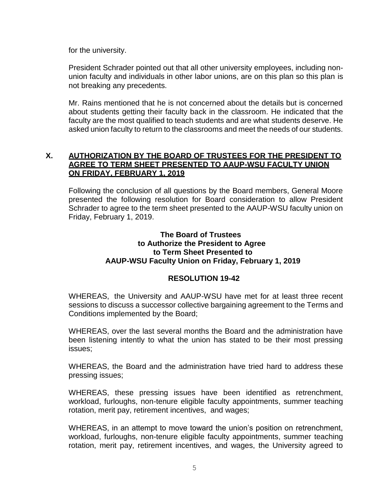for the university.

President Schrader pointed out that all other university employees, including nonunion faculty and individuals in other labor unions, are on this plan so this plan is not breaking any precedents.

Mr. Rains mentioned that he is not concerned about the details but is concerned about students getting their faculty back in the classroom. He indicated that the faculty are the most qualified to teach students and are what students deserve. He asked union faculty to return to the classrooms and meet the needs of our students.

# **X. AUTHORIZATION BY THE BOARD OF TRUSTEES FOR THE PRESIDENT TO AGREE TO TERM SHEET PRESENTED TO AAUP-WSU FACULTY UNION ON FRIDAY, FEBRUARY 1, 2019**

Following the conclusion of all questions by the Board members, General Moore presented the following resolution for Board consideration to allow President Schrader to agree to the term sheet presented to the AAUP-WSU faculty union on Friday, February 1, 2019.

## **The Board of Trustees to Authorize the President to Agree to Term Sheet Presented to AAUP-WSU Faculty Union on Friday, February 1, 2019**

# **RESOLUTION 19-42**

WHEREAS, the University and AAUP-WSU have met for at least three recent sessions to discuss a successor collective bargaining agreement to the Terms and Conditions implemented by the Board;

 WHEREAS, over the last several months the Board and the administration have been listening intently to what the union has stated to be their most pressing issues;

 WHEREAS, the Board and the administration have tried hard to address these pressing issues;

 WHEREAS, these pressing issues have been identified as retrenchment, workload, furloughs, non-tenure eligible faculty appointments, summer teaching rotation, merit pay, retirement incentives, and wages;

 WHEREAS, in an attempt to move toward the union's position on retrenchment, workload, furloughs, non-tenure eligible faculty appointments, summer teaching rotation, merit pay, retirement incentives, and wages, the University agreed to